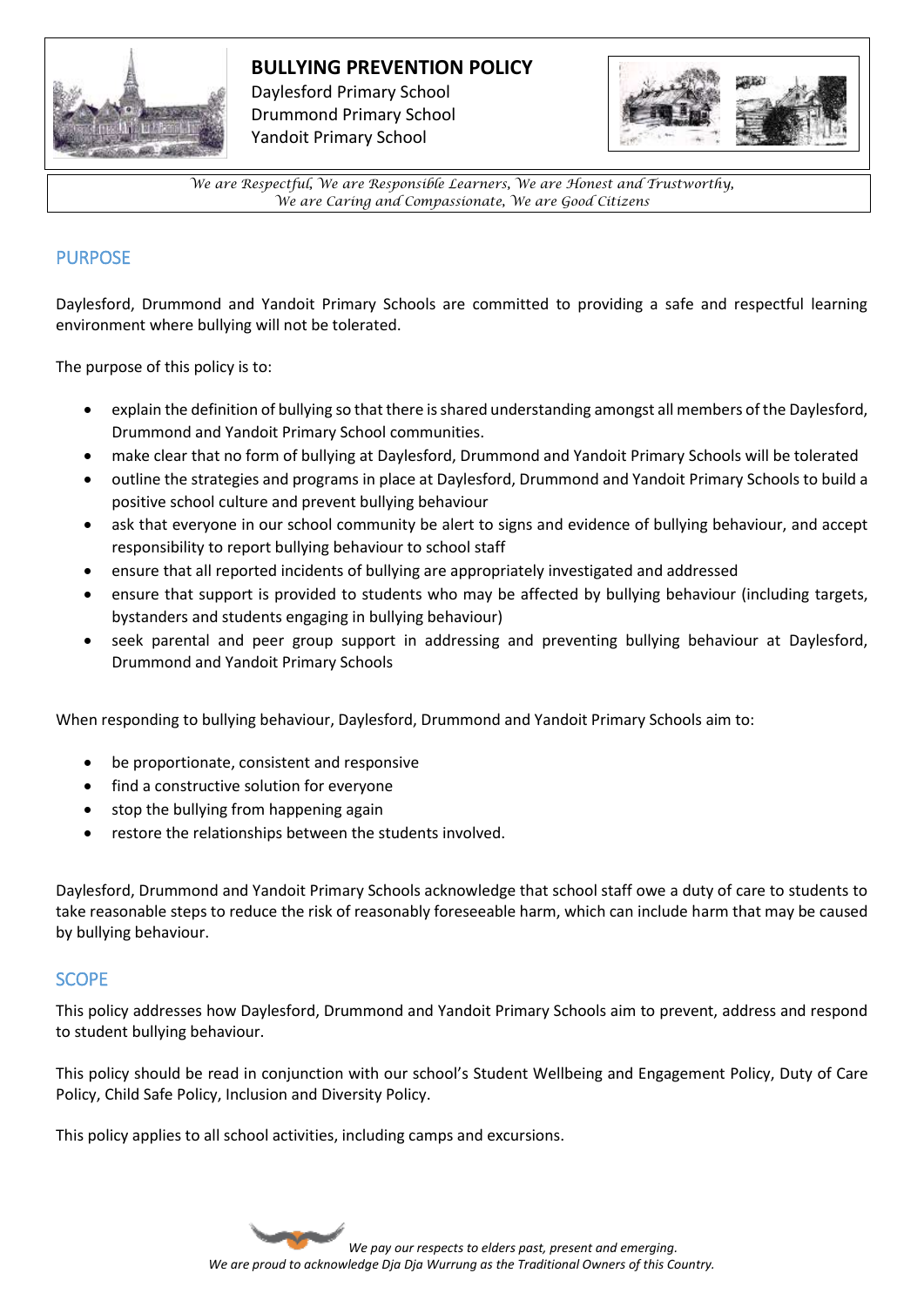

### **BULLYING PREVENTION POLICY**

Daylesford Primary School Drummond Primary School Yandoit Primary School



*We are Respectful, We are Responsible Learners, We are Honest and Trustworthy, We are Caring and Compassionate, We are Good Citizens*

# PURPOSE

Daylesford, Drummond and Yandoit Primary Schools are committed to providing a safe and respectful learning environment where bullying will not be tolerated.

The purpose of this policy is to:

- explain the definition of bullying so that there is shared understanding amongst all members of the Daylesford, Drummond and Yandoit Primary School communities.
- make clear that no form of bullying at Daylesford, Drummond and Yandoit Primary Schools will be tolerated
- outline the strategies and programs in place at Daylesford, Drummond and Yandoit Primary Schools to build a positive school culture and prevent bullying behaviour
- ask that everyone in our school community be alert to signs and evidence of bullying behaviour, and accept responsibility to report bullying behaviour to school staff
- ensure that all reported incidents of bullying are appropriately investigated and addressed
- ensure that support is provided to students who may be affected by bullying behaviour (including targets, bystanders and students engaging in bullying behaviour)
- seek parental and peer group support in addressing and preventing bullying behaviour at Daylesford, Drummond and Yandoit Primary Schools

When responding to bullying behaviour, Daylesford, Drummond and Yandoit Primary Schools aim to:

- be proportionate, consistent and responsive
- find a constructive solution for everyone
- stop the bullying from happening again
- restore the relationships between the students involved.

Daylesford, Drummond and Yandoit Primary Schools acknowledge that school staff owe a duty of care to students to take reasonable steps to reduce the risk of reasonably foreseeable harm, which can include harm that may be caused by bullying behaviour.

#### **SCOPE**

This policy addresses how Daylesford, Drummond and Yandoit Primary Schools aim to prevent, address and respond to student bullying behaviour.

This policy should be read in conjunction with our school's Student Wellbeing and Engagement Policy, Duty of Care Policy, Child Safe Policy, Inclusion and Diversity Policy.

This policy applies to all school activities, including camps and excursions.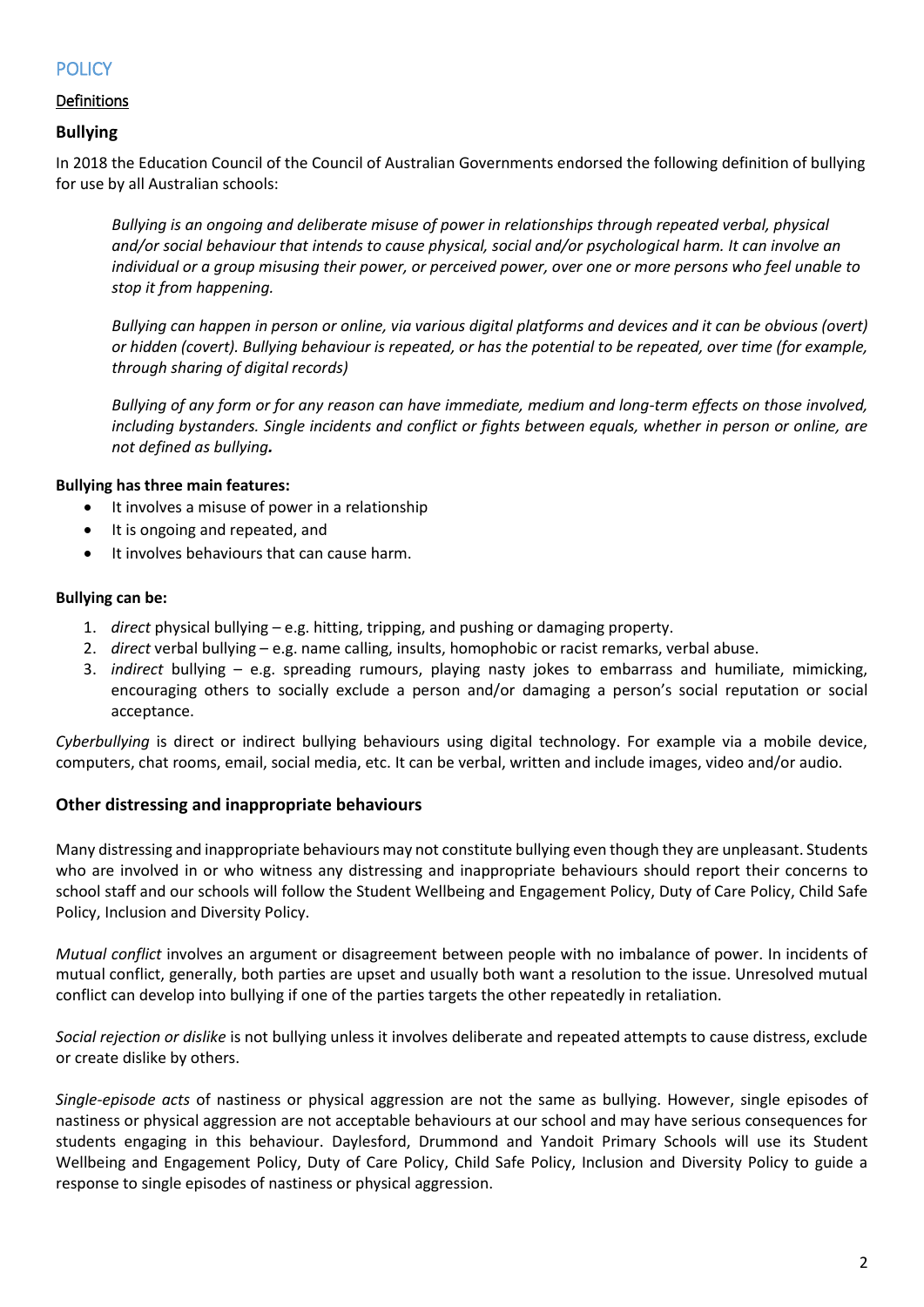### **POLICY**

# **Definitions**

# **Bullying**

In 2018 the Education Council of the Council of Australian Governments endorsed the following definition of bullying for use by all Australian schools:

*Bullying is an ongoing and deliberate misuse of power in relationships through repeated verbal, physical and/or social behaviour that intends to cause physical, social and/or psychological harm. It can involve an individual or a group misusing their power, or perceived power, over one or more persons who feel unable to stop it from happening.*

*Bullying can happen in person or online, via various digital platforms and devices and it can be obvious (overt) or hidden (covert). Bullying behaviour is repeated, or has the potential to be repeated, over time (for example, through sharing of digital records)*

*Bullying of any form or for any reason can have immediate, medium and long-term effects on those involved, including bystanders. Single incidents and conflict or fights between equals, whether in person or online, are not defined as bullying.*

## **Bullying has three main features:**

- It involves a misuse of power in a relationship
- It is ongoing and repeated, and
- It involves behaviours that can cause harm.

# **Bullying can be:**

- 1. *direct* physical bullying e.g. hitting, tripping, and pushing or damaging property.
- 2. *direct* verbal bullying e.g. name calling, insults, homophobic or racist remarks, verbal abuse.
- 3. *indirect* bullying e.g. spreading rumours, playing nasty jokes to embarrass and humiliate, mimicking, encouraging others to socially exclude a person and/or damaging a person's social reputation or social acceptance.

*Cyberbullying* is direct or indirect bullying behaviours using digital technology. For example via a mobile device, computers, chat rooms, email, social media, etc. It can be verbal, written and include images, video and/or audio.

# **Other distressing and inappropriate behaviours**

Many distressing and inappropriate behaviours may not constitute bullying even though they are unpleasant. Students who are involved in or who witness any distressing and inappropriate behaviours should report their concerns to school staff and our schools will follow the Student Wellbeing and Engagement Policy, Duty of Care Policy, Child Safe Policy, Inclusion and Diversity Policy.

*Mutual conflict* involves an argument or disagreement between people with no imbalance of power. In incidents of mutual conflict, generally, both parties are upset and usually both want a resolution to the issue. Unresolved mutual conflict can develop into bullying if one of the parties targets the other repeatedly in retaliation.

*Social rejection or dislike* is not bullying unless it involves deliberate and repeated attempts to cause distress, exclude or create dislike by others.

*Single-episode acts* of nastiness or physical aggression are not the same as bullying. However, single episodes of nastiness or physical aggression are not acceptable behaviours at our school and may have serious consequences for students engaging in this behaviour. Daylesford, Drummond and Yandoit Primary Schools will use its Student Wellbeing and Engagement Policy, Duty of Care Policy, Child Safe Policy, Inclusion and Diversity Policy to guide a response to single episodes of nastiness or physical aggression.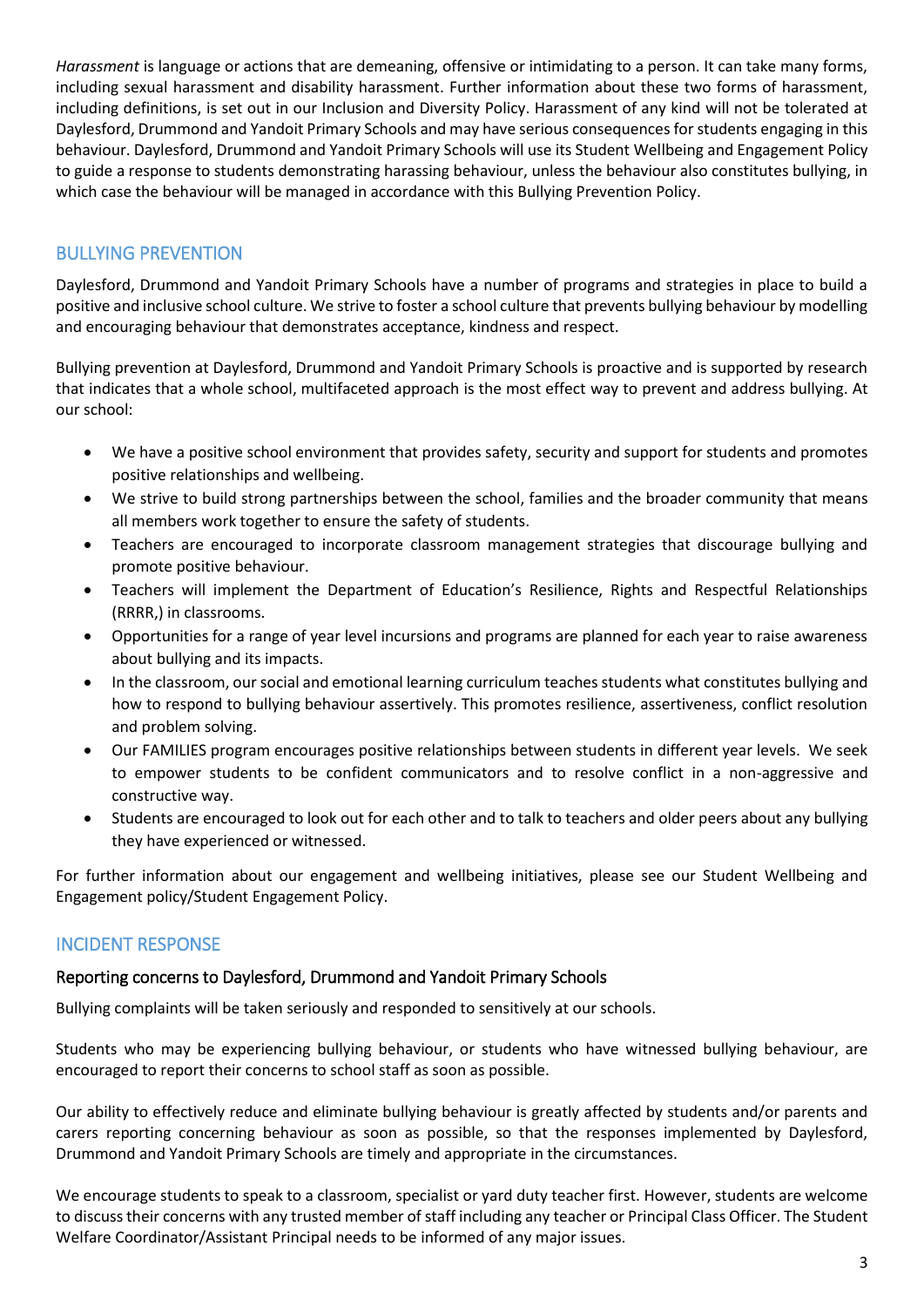*Harassment* is language or actions that are demeaning, offensive or intimidating to a person. It can take many forms, including sexual harassment and disability harassment. Further information about these two forms of harassment, including definitions, is set out in our Inclusion and Diversity Policy. Harassment of any kind will not be tolerated at Daylesford, Drummond and Yandoit Primary Schools and may have serious consequences for students engaging in this behaviour. Daylesford, Drummond and Yandoit Primary Schools will use its Student Wellbeing and Engagement Policy to guide a response to students demonstrating harassing behaviour, unless the behaviour also constitutes bullying, in which case the behaviour will be managed in accordance with this Bullying Prevention Policy.

### BULLYING PREVENTION

Daylesford, Drummond and Yandoit Primary Schools have a number of programs and strategies in place to build a positive and inclusive school culture. We strive to foster a school culture that prevents bullying behaviour by modelling and encouraging behaviour that demonstrates acceptance, kindness and respect.

Bullying prevention at Daylesford, Drummond and Yandoit Primary Schools is proactive and is supported by research that indicates that a whole school, multifaceted approach is the most effect way to prevent and address bullying. At our school:

- We have a positive school environment that provides safety, security and support for students and promotes positive relationships and wellbeing.
- We strive to build strong partnerships between the school, families and the broader community that means all members work together to ensure the safety of students.
- Teachers are encouraged to incorporate classroom management strategies that discourage bullying and promote positive behaviour.
- Teachers will implement the Department of Education's Resilience, Rights and Respectful Relationships (RRRR,) in classrooms.
- Opportunities for a range of year level incursions and programs are planned for each year to raise awareness about bullying and its impacts.
- In the classroom, our social and emotional learning curriculum teaches students what constitutes bullying and how to respond to bullying behaviour assertively. This promotes resilience, assertiveness, conflict resolution and problem solving.
- Our FAMILIES program encourages positive relationships between students in different year levels. We seek to empower students to be confident communicators and to resolve conflict in a non-aggressive and constructive way.
- Students are encouraged to look out for each other and to talk to teachers and older peers about any bullying they have experienced or witnessed.

For further information about our engagement and wellbeing initiatives, please see our Student Wellbeing and Engagement policy/Student Engagement Policy.

## INCIDENT RESPONSE

#### Reporting concerns to Daylesford, Drummond and Yandoit Primary Schools

Bullying complaints will be taken seriously and responded to sensitively at our schools.

Students who may be experiencing bullying behaviour, or students who have witnessed bullying behaviour, are encouraged to report their concerns to school staff as soon as possible.

Our ability to effectively reduce and eliminate bullying behaviour is greatly affected by students and/or parents and carers reporting concerning behaviour as soon as possible, so that the responses implemented by Daylesford, Drummond and Yandoit Primary Schools are timely and appropriate in the circumstances.

We encourage students to speak to a classroom, specialist or yard duty teacher first. However, students are welcome to discuss their concerns with any trusted member of staff including any teacher or Principal Class Officer. The Student Welfare Coordinator/Assistant Principal needs to be informed of any major issues.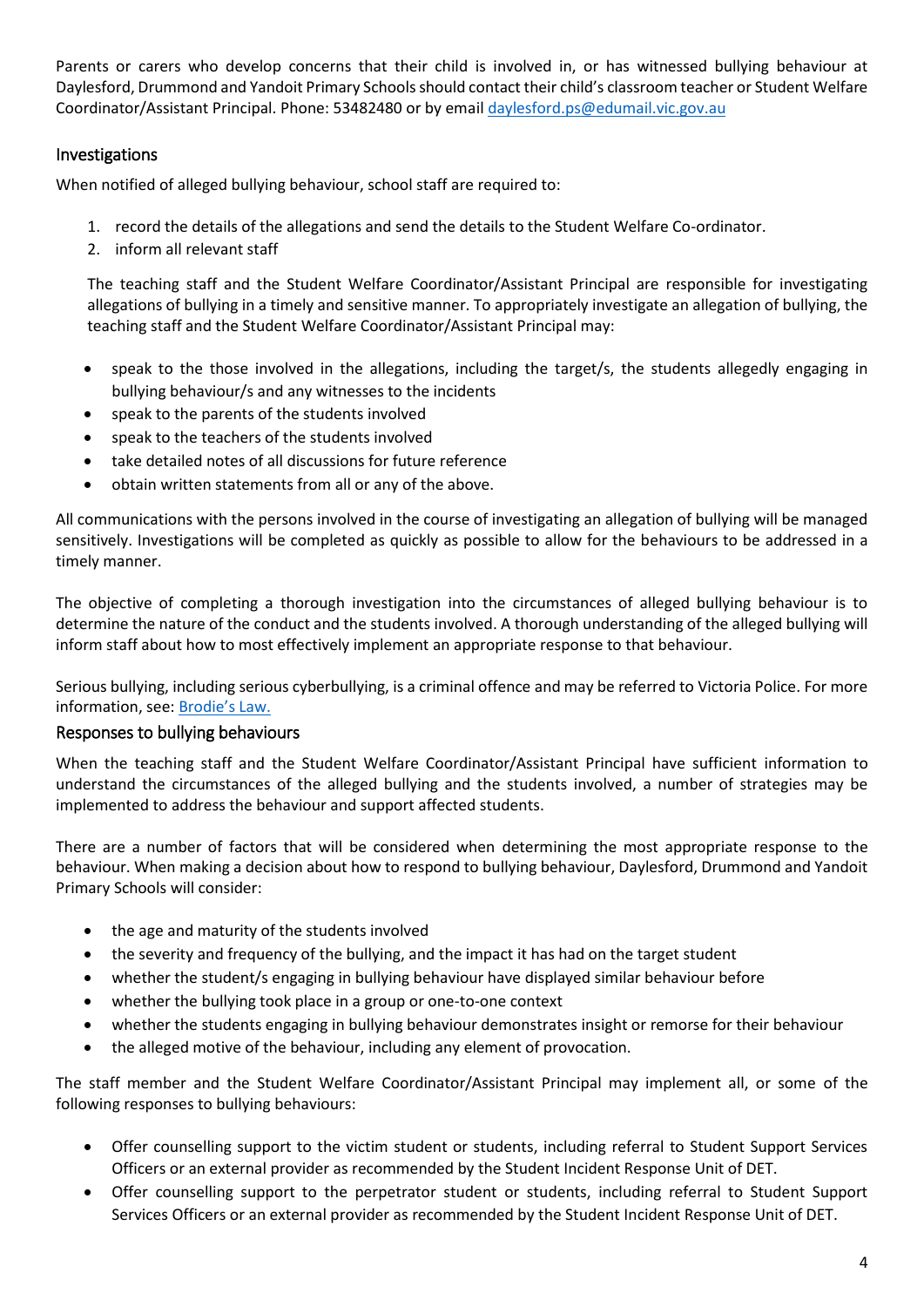Parents or carers who develop concerns that their child is involved in, or has witnessed bullying behaviour at Daylesford, Drummond and Yandoit Primary Schools should contact their child's classroom teacher or Student Welfare Coordinator/Assistant Principal. Phone: 53482480 or by email [daylesford.ps@edumail.vic.gov.au](mailto:daylesford.ps@edumail.vic.gov.au)

### Investigations

When notified of alleged bullying behaviour, school staff are required to:

- 1. record the details of the allegations and send the details to the Student Welfare Co-ordinator.
- 2. inform all relevant staff

The teaching staff and the Student Welfare Coordinator/Assistant Principal are responsible for investigating allegations of bullying in a timely and sensitive manner. To appropriately investigate an allegation of bullying, the teaching staff and the Student Welfare Coordinator/Assistant Principal may:

- speak to the those involved in the allegations, including the target/s, the students allegedly engaging in bullying behaviour/s and any witnesses to the incidents
- speak to the parents of the students involved
- speak to the teachers of the students involved
- take detailed notes of all discussions for future reference
- obtain written statements from all or any of the above.

All communications with the persons involved in the course of investigating an allegation of bullying will be managed sensitively. Investigations will be completed as quickly as possible to allow for the behaviours to be addressed in a timely manner.

The objective of completing a thorough investigation into the circumstances of alleged bullying behaviour is to determine the nature of the conduct and the students involved. A thorough understanding of the alleged bullying will inform staff about how to most effectively implement an appropriate response to that behaviour.

Serious bullying, including serious cyberbullying, is a criminal offence and may be referred to Victoria Police. For more information, see: [Brodie's Law.](http://www.education.vic.gov.au/about/programs/bullystoppers/Pages/advicesheetbrodieslaw.aspx)

#### Responses to bullying behaviours

When the teaching staff and the Student Welfare Coordinator/Assistant Principal have sufficient information to understand the circumstances of the alleged bullying and the students involved, a number of strategies may be implemented to address the behaviour and support affected students.

There are a number of factors that will be considered when determining the most appropriate response to the behaviour. When making a decision about how to respond to bullying behaviour, Daylesford, Drummond and Yandoit Primary Schools will consider:

- the age and maturity of the students involved
- the severity and frequency of the bullying, and the impact it has had on the target student
- whether the student/s engaging in bullying behaviour have displayed similar behaviour before
- whether the bullying took place in a group or one-to-one context
- whether the students engaging in bullying behaviour demonstrates insight or remorse for their behaviour
- the alleged motive of the behaviour, including any element of provocation.

The staff member and the Student Welfare Coordinator/Assistant Principal may implement all, or some of the following responses to bullying behaviours:

- Offer counselling support to the victim student or students, including referral to Student Support Services Officers or an external provider as recommended by the Student Incident Response Unit of DET.
- Offer counselling support to the perpetrator student or students, including referral to Student Support Services Officers or an external provider as recommended by the Student Incident Response Unit of DET.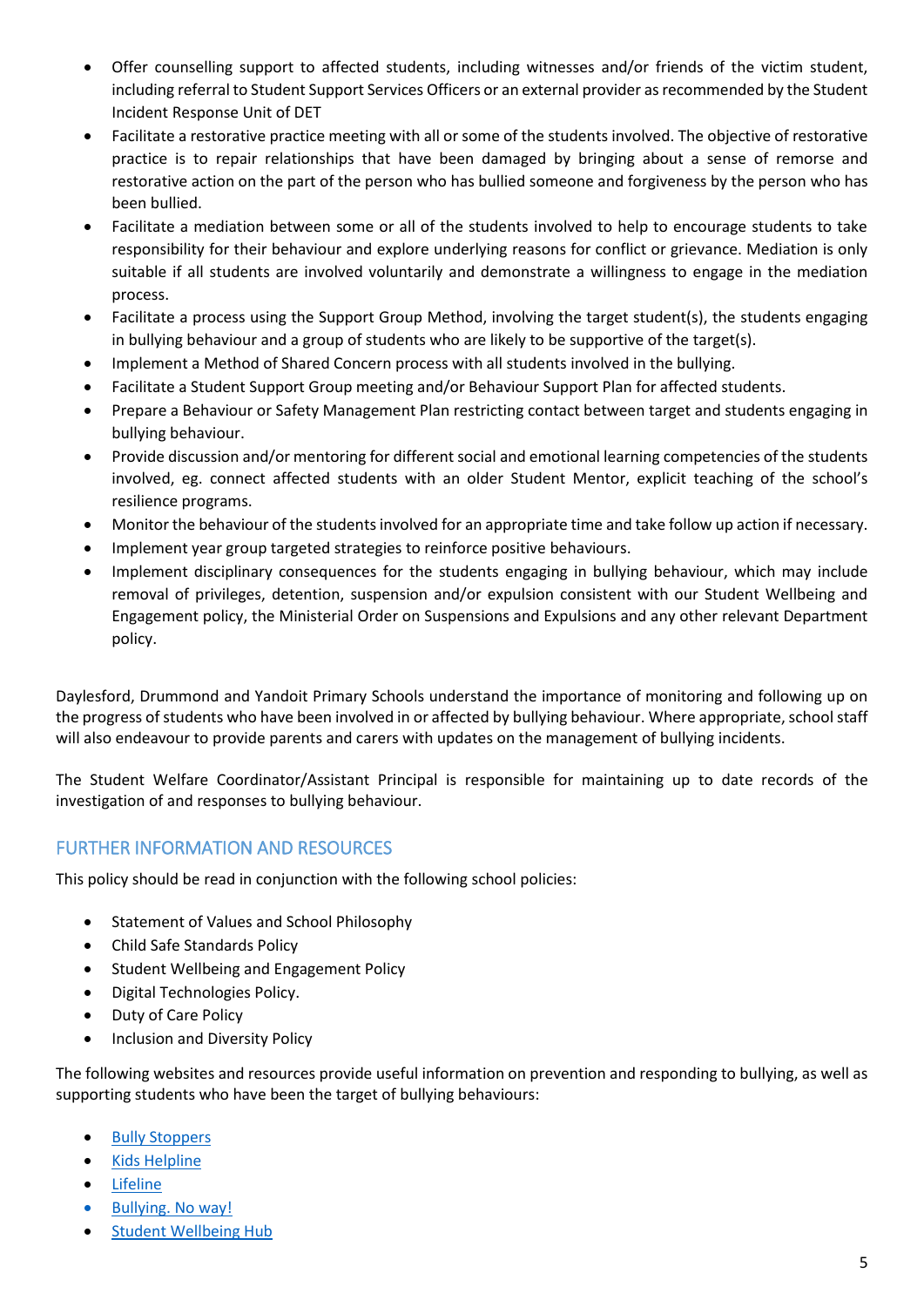- Offer counselling support to affected students, including witnesses and/or friends of the victim student, including referral to Student Support Services Officers or an external provider as recommended by the Student Incident Response Unit of DET
- Facilitate a restorative practice meeting with all or some of the students involved. The objective of restorative practice is to repair relationships that have been damaged by bringing about a sense of remorse and restorative action on the part of the person who has bullied someone and forgiveness by the person who has been bullied.
- Facilitate a mediation between some or all of the students involved to help to encourage students to take responsibility for their behaviour and explore underlying reasons for conflict or grievance. Mediation is only suitable if all students are involved voluntarily and demonstrate a willingness to engage in the mediation process.
- Facilitate a process using the Support Group Method, involving the target student(s), the students engaging in bullying behaviour and a group of students who are likely to be supportive of the target(s).
- Implement a Method of Shared Concern process with all students involved in the bullying.
- Facilitate a Student Support Group meeting and/or Behaviour Support Plan for affected students.
- Prepare a Behaviour or Safety Management Plan restricting contact between target and students engaging in bullying behaviour.
- Provide discussion and/or mentoring for different social and emotional learning competencies of the students involved, eg. connect affected students with an older Student Mentor, explicit teaching of the school's resilience programs.
- Monitor the behaviour of the students involved for an appropriate time and take follow up action if necessary.
- Implement year group targeted strategies to reinforce positive behaviours.
- Implement disciplinary consequences for the students engaging in bullying behaviour, which may include removal of privileges, detention, suspension and/or expulsion consistent with our Student Wellbeing and Engagement policy, the Ministerial Order on Suspensions and Expulsions and any other relevant Department policy.

Daylesford, Drummond and Yandoit Primary Schools understand the importance of monitoring and following up on the progress of students who have been involved in or affected by bullying behaviour. Where appropriate, school staff will also endeavour to provide parents and carers with updates on the management of bullying incidents.

The Student Welfare Coordinator/Assistant Principal is responsible for maintaining up to date records of the investigation of and responses to bullying behaviour.

#### FURTHER INFORMATION AND RESOURCES

This policy should be read in conjunction with the following school policies:

- **•** Statement of Values and School Philosophy
- Child Safe Standards Policy
- **•** Student Wellbeing and Engagement Policy
- Digital Technologies Policy.
- Duty of Care Policy
- Inclusion and Diversity Policy

The following websites and resources provide useful information on prevention and responding to bullying, as well as supporting students who have been the target of bullying behaviours:

- [Bully Stoppers](https://bullyingnoway.gov.au/PreventingBullying/Planning/Pages/School-policy.aspx)
- [Kids Helpline](https://kidshelpline.com.au/)
- **•** [Lifeline](https://www.lifeline.org.au/)
- [Bullying. No way!](https://bullyingnoway.gov.au/PreventingBullying/Planning/Pages/School-policy.aspx)
- **•** [Student Wellbeing Hub](https://www.studentwellbeinghub.edu.au/)